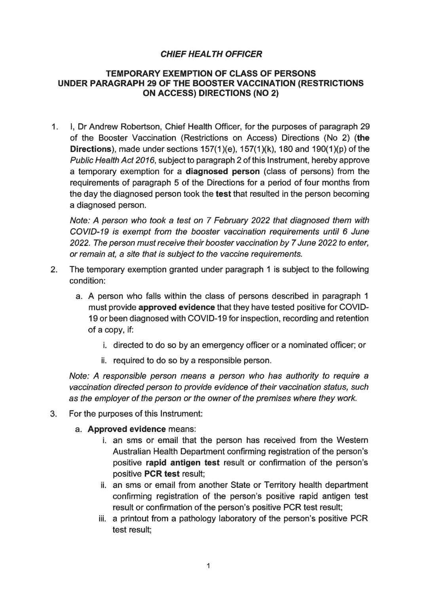## **CHIEF HEAL TH OFFICER**

## **TEMPORARY EXEMPTION OF CLASS OF PERSONS UNDER PARAGRAPH 29 OF THE BOOSTER VACCINATION (RESTRICTIONS ON ACCESS) DIRECTIONS (NO 2)**

1. I, Dr Andrew Robertson, Chief Health Officer, for the purposes of paragraph 29 of the Booster Vaccination (Restrictions on Access) Directions (No 2) **(the Directions**), made under sections 157(1)(e), 157(1)(k), 180 and 190(1)(p) of the Public Health Act 2016, subject to paragraph 2 of this Instrument, hereby approve a temporary exemption for a **diagnosed person** (class of persons) from the requirements of paragraph 5 of the Directions for a period of four months from the day the diagnosed person took the **test** that resulted in the person becoming a diagnosed person.

Note: A person who took a test on 7 February 2022 that diagnosed them with COVID-19 is exempt from the booster vaccination requirements until 6 June 2022. The person must receive their booster vaccination by 7 June 2022 to enter, or remain at, a site that is subject to the vaccine requirements.

- 2. The temporary exemption granted under paragraph 1 is subject to the following condition:
	- a. A person who falls within the class of persons described in paragraph 1 must provide **approved evidence** that they have tested positive for COVID-19 or been diagnosed with COVID-19 for inspection, recording and retention of a copy, if:
		- i. directed to do so by an emergency officer or a nominated officer; or
		- ii. required to do so by a responsible person.

Note: A responsible person means a person who has authority to require a vaccination directed person to provide evidence of their vaccination status, such as the employer of the person or the owner of the premises where they work.

- 3. For the purposes of this Instrument:
	- a. **Approved evidence** means:
		- i. an sms or email that the person has received from the Western Australian Health Department confirming registration of the person's positive **rapid antigen test** result or confirmation of the person's positive **PCR test** result;
		- ii. an sms or email from another State or Territory health department confirming registration of the person's positive rapid antigen test result or confirmation of the person's positive PCR test result;
		- iii. a printout from a pathology laboratory of the person's positive PCR test result;